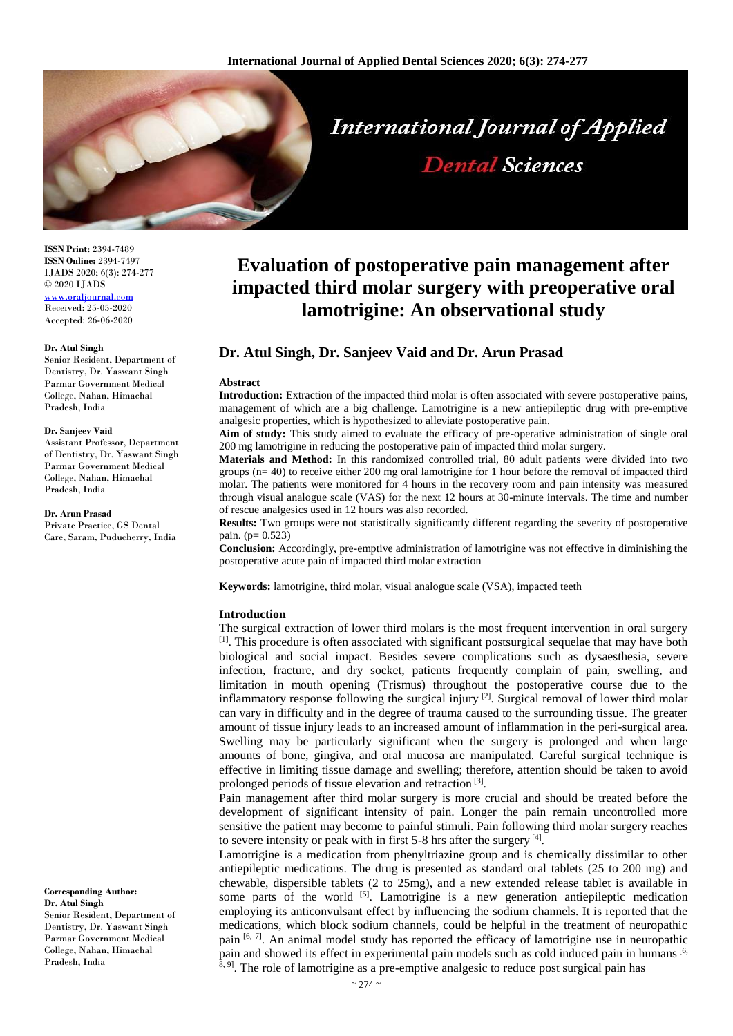

**ISSN Print:** 2394-7489 **ISSN Online:** 2394-7497 IJADS 2020; 6(3): 274-277 © 2020 IJADS [www.oraljournal.com](http://www.oraljournal.com/) Received: 25-05-2020 Accepted: 26-06-2020

### **Dr. Atul Singh**

Senior Resident, Department of Dentistry, Dr. Yaswant Singh Parmar Government Medical College, Nahan, Himachal Pradesh, India

#### **Dr. Sanjeev Vaid**

Assistant Professor, Department of Dentistry, Dr. Yaswant Singh Parmar Government Medical College, Nahan, Himachal Pradesh, India

**Dr. Arun Prasad** Private Practice, GS Dental Care, Saram, Puducherry, India

**Corresponding Author: Dr. Atul Singh** Senior Resident, Department of Dentistry, Dr. Yaswant Singh Parmar Government Medical College, Nahan, Himachal Pradesh, India

# **Evaluation of postoperative pain management after impacted third molar surgery with preoperative oral lamotrigine: An observational study**

# **Dr. Atul Singh, Dr. Sanjeev Vaid and Dr. Arun Prasad**

### **Abstract**

**Introduction:** Extraction of the impacted third molar is often associated with severe postoperative pains, management of which are a big challenge. Lamotrigine is a new antiepileptic drug with pre-emptive analgesic properties, which is hypothesized to alleviate postoperative pain.

**Aim of study:** This study aimed to evaluate the efficacy of pre-operative administration of single oral 200 mg lamotrigine in reducing the postoperative pain of impacted third molar surgery.

**Materials and Method:** In this randomized controlled trial, 80 adult patients were divided into two groups (n= 40) to receive either 200 mg oral lamotrigine for 1 hour before the removal of impacted third molar. The patients were monitored for 4 hours in the recovery room and pain intensity was measured through visual analogue scale (VAS) for the next 12 hours at 30-minute intervals. The time and number of rescue analgesics used in 12 hours was also recorded.

**Results:** Two groups were not statistically significantly different regarding the severity of postoperative pain.  $(p= 0.523)$ 

**Conclusion:** Accordingly, pre-emptive administration of lamotrigine was not effective in diminishing the postoperative acute pain of impacted third molar extraction

**Keywords:** lamotrigine, third molar, visual analogue scale (VSA), impacted teeth

## **Introduction**

The surgical extraction of lower third molars is the most frequent intervention in oral surgery <sup>[1]</sup>. This procedure is often associated with significant postsurgical sequelae that may have both biological and social impact. Besides severe complications such as dysaesthesia, severe infection, fracture, and dry socket, patients frequently complain of pain, swelling, and limitation in mouth opening (Trismus) throughout the postoperative course due to the inflammatory response following the surgical injury  $[2]$ . Surgical removal of lower third molar can vary in difficulty and in the degree of trauma caused to the surrounding tissue. The greater amount of tissue injury leads to an increased amount of inflammation in the peri-surgical area. Swelling may be particularly significant when the surgery is prolonged and when large amounts of bone, gingiva, and oral mucosa are manipulated. Careful surgical technique is effective in limiting tissue damage and swelling; therefore, attention should be taken to avoid prolonged periods of tissue elevation and retraction<sup>[3]</sup>.

Pain management after third molar surgery is more crucial and should be treated before the development of significant intensity of pain. Longer the pain remain uncontrolled more sensitive the patient may become to painful stimuli. Pain following third molar surgery reaches to severe intensity or peak with in first 5-8 hrs after the surgery [4].

Lamotrigine is a medication from phenyltriazine group and is chemically dissimilar to other antiepileptic medications. The drug is presented as standard oral tablets (25 to 200 mg) and chewable, dispersible tablets (2 to 25mg), and a new extended release tablet is available in some parts of the world  $\left[5\right]$ . Lamotrigine is a new generation antiepileptic medication employing its anticonvulsant effect by influencing the sodium channels. It is reported that the medications, which block sodium channels, could be helpful in the treatment of neuropathic pain  $[6, 7]$ . An animal model study has reported the efficacy of lamotrigine use in neuropathic pain and showed its effect in experimental pain models such as cold induced pain in humans [6, <sup>8, 9]</sup>. The role of lamotrigine as a pre-emptive analgesic to reduce post surgical pain has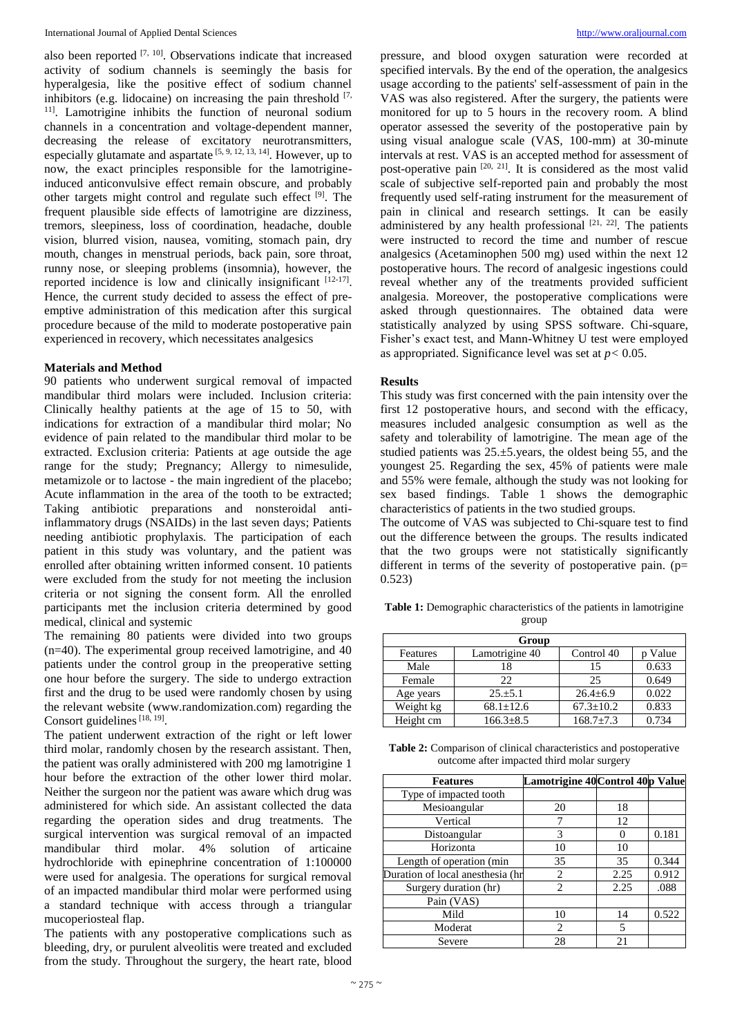also been reported  $[7, 10]$ . Observations indicate that increased activity of sodium channels is seemingly the basis for hyperalgesia, like the positive effect of sodium channel inhibitors (e.g. lidocaine) on increasing the pain threshold  $[7, 6]$ <sup>11]</sup>. Lamotrigine inhibits the function of neuronal sodium channels in a concentration and voltage-dependent manner, decreasing the release of excitatory neurotransmitters, especially glutamate and aspartate  $[5, 9, 12, 13, 14]$ . However, up to now, the exact principles responsible for the lamotrigineinduced anticonvulsive effect remain obscure, and probably other targets might control and regulate such effect [9]. The frequent plausible side effects of lamotrigine are dizziness, tremors, sleepiness, loss of coordination, headache, double vision, blurred vision, nausea, vomiting, stomach pain, dry mouth, changes in menstrual periods, back pain, sore throat, runny nose, or sleeping problems (insomnia), however, the reported incidence is low and clinically insignificant  $[12-17]$ . Hence, the current study decided to assess the effect of preemptive administration of this medication after this surgical procedure because of the mild to moderate postoperative pain experienced in recovery, which necessitates analgesics

# **Materials and Method**

90 patients who underwent surgical removal of impacted mandibular third molars were included. Inclusion criteria: Clinically healthy patients at the age of 15 to 50, with indications for extraction of a mandibular third molar; No evidence of pain related to the mandibular third molar to be extracted. Exclusion criteria: Patients at age outside the age range for the study; Pregnancy; Allergy to nimesulide, metamizole or to lactose - the main ingredient of the placebo; Acute inflammation in the area of the tooth to be extracted; Taking antibiotic preparations and nonsteroidal antiinflammatory drugs (NSAIDs) in the last seven days; Patients needing antibiotic prophylaxis. The participation of each patient in this study was voluntary, and the patient was enrolled after obtaining written informed consent. 10 patients were excluded from the study for not meeting the inclusion criteria or not signing the consent form. All the enrolled participants met the inclusion criteria determined by good medical, clinical and systemic

The remaining 80 patients were divided into two groups (n=40). The experimental group received lamotrigine, and 40 patients under the control group in the preoperative setting one hour before the surgery. The side to undergo extraction first and the drug to be used were randomly chosen by using the relevant website (www.randomization.com) regarding the Consort guidelines  $[18, 19]$ .

The patient underwent extraction of the right or left lower third molar, randomly chosen by the research assistant. Then, the patient was orally administered with 200 mg lamotrigine 1 hour before the extraction of the other lower third molar. Neither the surgeon nor the patient was aware which drug was administered for which side. An assistant collected the data regarding the operation sides and drug treatments. The surgical intervention was surgical removal of an impacted mandibular third molar. 4% solution of articaine hydrochloride with epinephrine concentration of 1:100000 were used for analgesia. The operations for surgical removal of an impacted mandibular third molar were performed using a standard technique with access through a triangular mucoperiosteal flap.

The patients with any postoperative complications such as bleeding, dry, or purulent alveolitis were treated and excluded from the study. Throughout the surgery, the heart rate, blood pressure, and blood oxygen saturation were recorded at specified intervals. By the end of the operation, the analgesics usage according to the patients' self-assessment of pain in the VAS was also registered. After the surgery, the patients were monitored for up to 5 hours in the recovery room. A blind operator assessed the severity of the postoperative pain by using visual analogue scale (VAS, 100-mm) at 30-minute intervals at rest. VAS is an accepted method for assessment of post-operative pain <sup>[20, 21]</sup>. It is considered as the most valid scale of subjective self-reported pain and probably the most frequently used self-rating instrument for the measurement of pain in clinical and research settings. It can be easily administered by any health professional  $[21, 22]$ . The patients were instructed to record the time and number of rescue analgesics (Acetaminophen 500 mg) used within the next 12 postoperative hours. The record of analgesic ingestions could reveal whether any of the treatments provided sufficient analgesia. Moreover, the postoperative complications were asked through questionnaires. The obtained data were statistically analyzed by using SPSS software. Chi-square, Fisher's exact test, and Mann-Whitney U test were employed as appropriated. Significance level was set at *p<* 0.05.

## **Results**

This study was first concerned with the pain intensity over the first 12 postoperative hours, and second with the efficacy, measures included analgesic consumption as well as the safety and tolerability of lamotrigine. The mean age of the studied patients was 25.±5.years, the oldest being 55, and the youngest 25. Regarding the sex, 45% of patients were male and 55% were female, although the study was not looking for sex based findings. Table 1 shows the demographic characteristics of patients in the two studied groups.

The outcome of VAS was subjected to Chi-square test to find out the difference between the groups. The results indicated that the two groups were not statistically significantly different in terms of the severity of postoperative pain.  $(p=$ 0.523)

**Table 1:** Demographic characteristics of the patients in lamotrigine group

| Group     |                 |                 |       |  |  |
|-----------|-----------------|-----------------|-------|--|--|
| Features  | Lamotrigine 40  | Control 40      | Value |  |  |
| Male      | 18              | 15              | 0.633 |  |  |
| Female    | 22.             | 25              | 0.649 |  |  |
| Age years | $25.+5.1$       | $26.4 \pm 6.9$  | 0.022 |  |  |
| Weight kg | $68.1 + 12.6$   | $67.3 \pm 10.2$ | 0.833 |  |  |
| Height cm | $166.3 \pm 8.5$ | $168.7 \pm 7.3$ | 0.734 |  |  |

**Table 2:** Comparison of clinical characteristics and postoperative outcome after impacted third molar surgery

| <b>Features</b>                  | Lamotrigine 40 Control 40p Value |      |       |
|----------------------------------|----------------------------------|------|-------|
| Type of impacted tooth           |                                  |      |       |
| Mesioangular                     | 20                               | 18   |       |
| Vertical                         |                                  | 12   |       |
| Distoangular                     | 3                                |      | 0.181 |
| Horizonta                        | 10                               | 10   |       |
| Length of operation (min         | 35                               | 35   | 0.344 |
| Duration of local anesthesia (hr | 2                                | 2.25 | 0.912 |
| Surgery duration (hr)            | $\mathfrak{D}$                   | 2.25 | .088  |
| Pain (VAS)                       |                                  |      |       |
| Mild                             | 10                               | 14   | 0.522 |
| Moderat                          | 2                                | 5    |       |
| Severe                           | 28                               | 21   |       |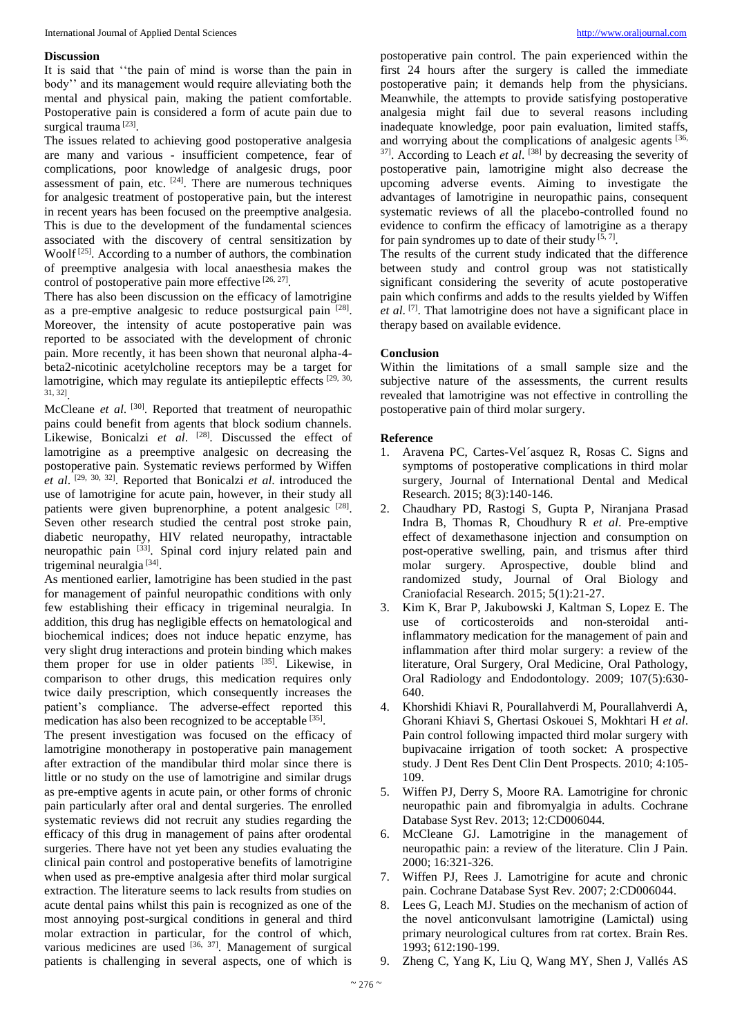## **Discussion**

It is said that ''the pain of mind is worse than the pain in body'' and its management would require alleviating both the mental and physical pain, making the patient comfortable. Postoperative pain is considered a form of acute pain due to surgical trauma<sup>[23]</sup>.

The issues related to achieving good postoperative analgesia are many and various - insufficient competence, fear of complications, poor knowledge of analgesic drugs, poor assessment of pain, etc.  $[24]$ . There are numerous techniques for analgesic treatment of postoperative pain, but the interest in recent years has been focused on the preemptive analgesia. This is due to the development of the fundamental sciences associated with the discovery of central sensitization by Woolf<sup>[25]</sup>. According to a number of authors, the combination of preemptive analgesia with local anaesthesia makes the control of postoperative pain more effective  $[26, 27]$ .

There has also been discussion on the efficacy of lamotrigine as a pre-emptive analgesic to reduce postsurgical pain [28]. Moreover, the intensity of acute postoperative pain was reported to be associated with the development of chronic pain. More recently, it has been shown that neuronal alpha-4 beta2-nicotinic acetylcholine receptors may be a target for lamotrigine, which may regulate its antiepileptic effects [29, 30, 31, 32] .

McCleane *et al.* <sup>[30]</sup>. Reported that treatment of neuropathic pains could benefit from agents that block sodium channels. Likewise, Bonicalzi et al. <sup>[28]</sup>. Discussed the effect of lamotrigine as a preemptive analgesic on decreasing the postoperative pain. Systematic reviews performed by Wiffen *et al*. [29, 30, 32] . Reported that Bonicalzi *et al*. introduced the use of lamotrigine for acute pain, however, in their study all patients were given buprenorphine, a potent analgesic [28]. Seven other research studied the central post stroke pain, diabetic neuropathy, HIV related neuropathy, intractable neuropathic pain <sup>[33]</sup>. Spinal cord injury related pain and trigeminal neuralgia<sup>[34]</sup>.

As mentioned earlier, lamotrigine has been studied in the past for management of painful neuropathic conditions with only few establishing their efficacy in trigeminal neuralgia. In addition, this drug has negligible effects on hematological and biochemical indices; does not induce hepatic enzyme, has very slight drug interactions and protein binding which makes them proper for use in older patients [35]. Likewise, in comparison to other drugs, this medication requires only twice daily prescription, which consequently increases the patient's compliance. The adverse-effect reported this medication has also been recognized to be acceptable <sup>[35]</sup>.

The present investigation was focused on the efficacy of lamotrigine monotherapy in postoperative pain management after extraction of the mandibular third molar since there is little or no study on the use of lamotrigine and similar drugs as pre-emptive agents in acute pain, or other forms of chronic pain particularly after oral and dental surgeries. The enrolled systematic reviews did not recruit any studies regarding the efficacy of this drug in management of pains after orodental surgeries. There have not yet been any studies evaluating the clinical pain control and postoperative benefits of lamotrigine when used as pre-emptive analgesia after third molar surgical extraction. The literature seems to lack results from studies on acute dental pains whilst this pain is recognized as one of the most annoying post-surgical conditions in general and third molar extraction in particular, for the control of which, various medicines are used  $[36, 37]$ . Management of surgical patients is challenging in several aspects, one of which is

postoperative pain control. The pain experienced within the first 24 hours after the surgery is called the immediate postoperative pain; it demands help from the physicians. Meanwhile, the attempts to provide satisfying postoperative analgesia might fail due to several reasons including inadequate knowledge, poor pain evaluation, limited staffs, and worrying about the complications of analgesic agents <sup>[36,</sup>]  $37$ . According to Leach *et al.*  $[38]$  by decreasing the severity of postoperative pain, lamotrigine might also decrease the upcoming adverse events. Aiming to investigate the advantages of lamotrigine in neuropathic pains, consequent systematic reviews of all the placebo-controlled found no evidence to confirm the efficacy of lamotrigine as a therapy for pain syndromes up to date of their study  $[5, 7]$ .

The results of the current study indicated that the difference between study and control group was not statistically significant considering the severity of acute postoperative pain which confirms and adds to the results yielded by Wiffen et al.<sup>[7]</sup>. That lamotrigine does not have a significant place in therapy based on available evidence.

# **Conclusion**

Within the limitations of a small sample size and the subjective nature of the assessments, the current results revealed that lamotrigine was not effective in controlling the postoperative pain of third molar surgery.

## **Reference**

- 1. Aravena PC, Cartes-Vel´asquez R, Rosas C. Signs and symptoms of postoperative complications in third molar surgery, Journal of International Dental and Medical Research. 2015; 8(3):140-146.
- 2. Chaudhary PD, Rastogi S, Gupta P, Niranjana Prasad Indra B, Thomas R, Choudhury R *et al*. Pre-emptive effect of dexamethasone injection and consumption on post-operative swelling, pain, and trismus after third molar surgery. Aprospective, double blind and randomized study, Journal of Oral Biology and Craniofacial Research. 2015; 5(1):21-27.
- 3. Kim K, Brar P, Jakubowski J, Kaltman S, Lopez E. The use of corticosteroids and non-steroidal antiinflammatory medication for the management of pain and inflammation after third molar surgery: a review of the literature, Oral Surgery, Oral Medicine, Oral Pathology, Oral Radiology and Endodontology. 2009; 107(5):630- 640.
- 4. Khorshidi Khiavi R, Pourallahverdi M, Pourallahverdi A, Ghorani Khiavi S, Ghertasi Oskouei S, Mokhtari H *et al*. Pain control following impacted third molar surgery with bupivacaine irrigation of tooth socket: A prospective study. J Dent Res Dent Clin Dent Prospects. 2010; 4:105- 109.
- 5. Wiffen PJ, Derry S, Moore RA. Lamotrigine for chronic neuropathic pain and fibromyalgia in adults. Cochrane Database Syst Rev. 2013; 12:CD006044.
- 6. McCleane GJ. Lamotrigine in the management of neuropathic pain: a review of the literature. Clin J Pain. 2000; 16:321-326.
- 7. Wiffen PJ, Rees J. Lamotrigine for acute and chronic pain. Cochrane Database Syst Rev. 2007; 2:CD006044.
- 8. Lees G, Leach MJ. Studies on the mechanism of action of the novel anticonvulsant lamotrigine (Lamictal) using primary neurological cultures from rat cortex. Brain Res. 1993; 612:190-199.
- 9. Zheng C, Yang K, Liu Q, Wang MY, Shen J, Vallés AS